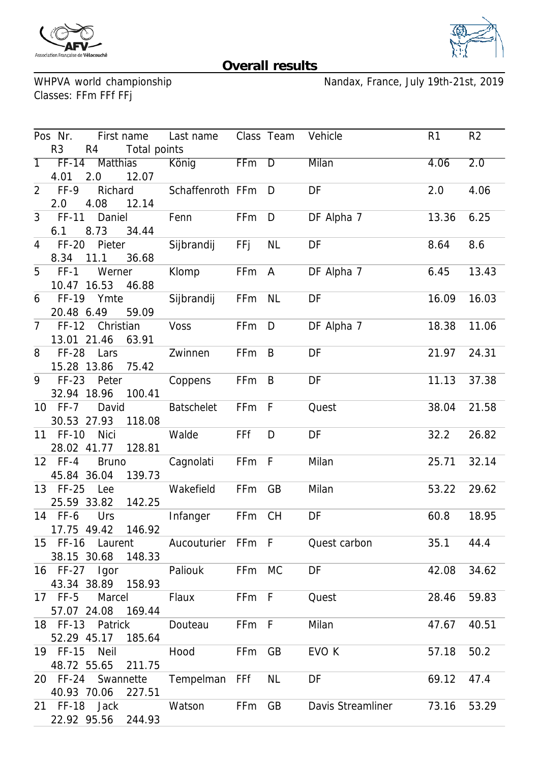



## **Overall results**

WHPVA world championship<br>Classes: FFm FFf FFj

Nandax, France, July 19th-21st, 2019

| Pos Nr.        |                   |                    | First name Last name Class Team Vehicle |        |                |                                                 | R <sub>1</sub> | R <sub>2</sub> |
|----------------|-------------------|--------------------|-----------------------------------------|--------|----------------|-------------------------------------------------|----------------|----------------|
| R <sub>3</sub> |                   | R4 Total points    |                                         |        |                |                                                 |                |                |
|                |                   | 1 FF-14 Matthias   | König                                   | FFm D  |                | <b>Milan</b>                                    | 4.06           | 2.0            |
| 4.01 2.0       |                   | 12.07              |                                         |        |                |                                                 |                |                |
| 2 FF-9         | Richard           |                    | Schaffenroth FFm D                      |        |                | DF                                              | 2.0            | 4.06           |
| 2.0            | 4.08              | 12.14              |                                         |        |                |                                                 |                |                |
| $3$ FF-11      | Daniel            |                    | Fenn                                    | FFm    | $\overline{D}$ | DF Alpha 7                                      | 13.36          | 6.25           |
| 6.1            | 8.73 34.44        |                    |                                         |        |                |                                                 |                |                |
| 4 FF-20        | Pieter            |                    | Sijbrandij                              | FFj    | <b>NL</b>      | DF                                              | 8.64           | 8.6            |
| 8.34 11.1      |                   | 36.68              |                                         |        |                |                                                 |                |                |
|                | 5 FF-1 Werner     |                    | Klomp                                   | FFm A  |                | DF Alpha 7                                      | 6.45           | 13.43          |
|                | 10.47 16.53       | 46.88              |                                         |        |                |                                                 |                |                |
|                | 6 FF-19 Ymte      |                    | Sijbrandij                              | FFm NL |                | DF                                              | 16.09          | 16.03          |
| 20.48 6.49     |                   | 59.09              |                                         |        |                |                                                 |                |                |
|                | 7 FF-12 Christian |                    | Voss                                    | FFm    | $\Box$         | DF Alpha 7                                      | 18.38          | 11.06          |
|                | 13.01 21.46       | 63.91              |                                         |        |                |                                                 |                |                |
|                | 8 FF-28 Lars      |                    | Zwinnen                                 | FFm    | $\overline{B}$ | DF                                              | 21.97          | 24.31          |
| 15.28 13.86    |                   | 75.42              |                                         |        |                |                                                 |                |                |
|                | 9 FF-23 Peter     |                    | Coppens                                 | FFm B  |                | DF                                              | 11.13          | 37.38          |
| 32.94 18.96    |                   | 100.41             |                                         |        |                |                                                 |                |                |
| 10 FF-7        | David             |                    | Batschelet                              | FFm F  |                | Quest                                           | 38.04          | 21.58          |
|                | 30.53 27.93       | 118.08             |                                         |        |                |                                                 |                |                |
| 11 FF-10       | Nici              |                    | Walde                                   | FFf    | D              | DF                                              | 32.2           | 26.82          |
| 28.02 41.77    |                   | 128.81             |                                         |        |                |                                                 |                |                |
| 12 FF-4        | <b>Bruno</b>      |                    | Cagnolati                               | FFm F  |                | Milan                                           | 25.71          | 32.14          |
| 45.84 36.04    |                   | 139.73             |                                         |        |                |                                                 |                |                |
| 13 FF-25 Lee   |                   |                    | Wakefield                               | FFm    | GB             | Milan                                           | 53.22          | 29.62          |
| 25.59 33.82    |                   | 142.25             |                                         |        |                |                                                 |                |                |
| 14 FF-6        | Urs               |                    | Infanger                                | FFm    | <b>CH</b>      | DF                                              | 60.8           | 18.95          |
| 17.75 49.42    |                   | 146.92             |                                         |        |                |                                                 |                |                |
|                |                   |                    |                                         |        |                | 15 FF-16 Laurent Aucouturier FFm F Quest carbon | 35.1           | 44.4           |
|                | 38.15 30.68       | 148.33             |                                         |        |                |                                                 |                |                |
|                | 16 FF-27 Igor     |                    | Paliouk                                 | FFm MC |                | DF                                              | 42.08          | 34.62          |
|                |                   | 43.34 38.89 158.93 |                                         |        |                |                                                 |                |                |
| 17 FF-5        | Marcel            |                    | Flaux                                   | FFm F  |                | Quest                                           | 28.46          | 59.83          |
|                | 57.07 24.08       | 169.44             |                                         |        |                |                                                 |                |                |
|                |                   | 18 FF-13 Patrick   | Douteau                                 | FFm F  |                | Milan                                           | 47.67          | 40.51          |
|                | 52.29 45.17       | 185.64             |                                         |        |                |                                                 |                |                |
| 19 FF-15       | Neil              |                    | Hood                                    | FFm GB |                | EVO K                                           | 57.18          | 50.2           |
| 48.72 55.65    |                   | 211.75             |                                         |        |                |                                                 |                |                |
|                |                   |                    |                                         |        | <b>NL</b>      | DF                                              | 69.12          | 47.4           |
| 40.93 70.06    |                   | 227.51             | 20 FF-24 Swannette Tempelman FFf        |        |                |                                                 |                |                |
|                | 21 FF-18 Jack     |                    | Watson                                  | FFm GB |                | Davis Streamliner 73.16                         |                | 53.29          |
|                |                   |                    |                                         |        |                |                                                 |                |                |
|                |                   | 22.92 95.56 244.93 |                                         |        |                |                                                 |                |                |